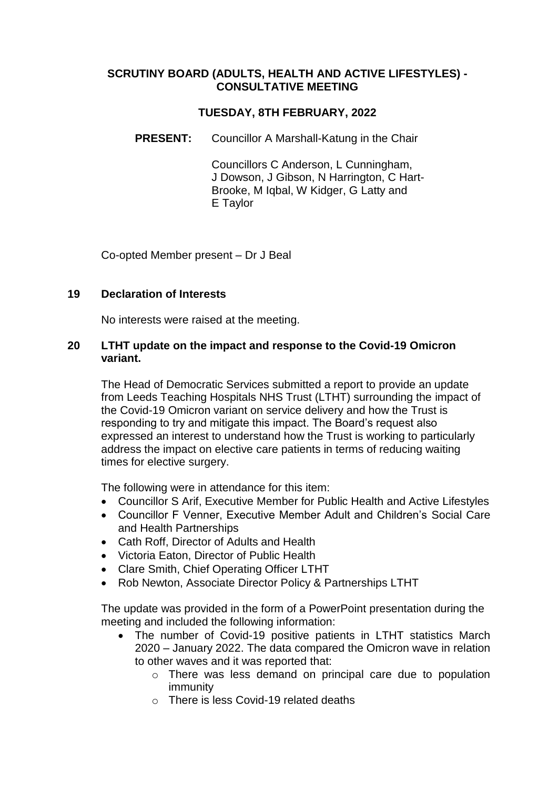### **SCRUTINY BOARD (ADULTS, HEALTH AND ACTIVE LIFESTYLES) - CONSULTATIVE MEETING**

# **TUESDAY, 8TH FEBRUARY, 2022**

**PRESENT:** Councillor A Marshall-Katung in the Chair

Councillors C Anderson, L Cunningham, J Dowson, J Gibson, N Harrington, C Hart-Brooke, M Iqbal, W Kidger, G Latty and E Taylor

Co-opted Member present – Dr J Beal

#### **19 Declaration of Interests**

No interests were raised at the meeting.

### **20 LTHT update on the impact and response to the Covid-19 Omicron variant.**

The Head of Democratic Services submitted a report to provide an update from Leeds Teaching Hospitals NHS Trust (LTHT) surrounding the impact of the Covid-19 Omicron variant on service delivery and how the Trust is responding to try and mitigate this impact. The Board's request also expressed an interest to understand how the Trust is working to particularly address the impact on elective care patients in terms of reducing waiting times for elective surgery.

The following were in attendance for this item:

- Councillor S Arif, Executive Member for Public Health and Active Lifestyles
- Councillor F Venner, Executive Member Adult and Children's Social Care and Health Partnerships
- Cath Roff, Director of Adults and Health
- Victoria Eaton, Director of Public Health
- Clare Smith, Chief Operating Officer LTHT
- Rob Newton, Associate Director Policy & Partnerships LTHT

The update was provided in the form of a PowerPoint presentation during the meeting and included the following information:

- The number of Covid-19 positive patients in LTHT statistics March 2020 – January 2022. The data compared the Omicron wave in relation to other waves and it was reported that:
	- o There was less demand on principal care due to population immunity
	- o There is less Covid-19 related deaths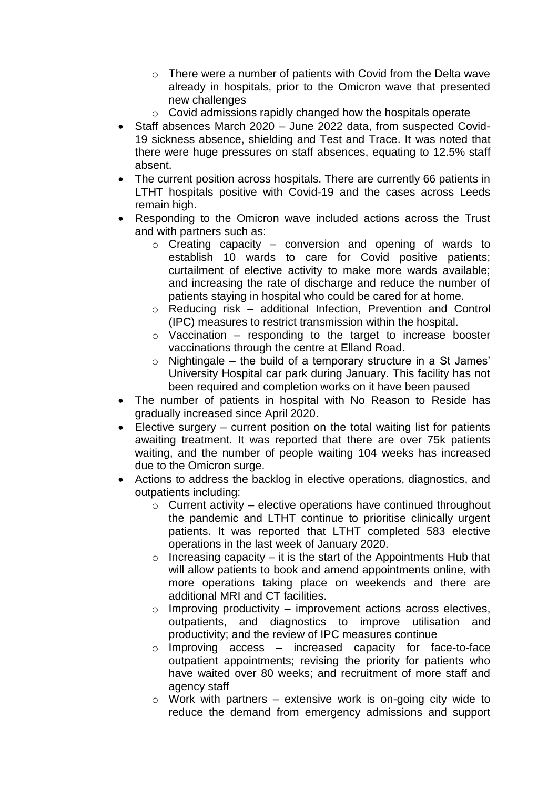- $\circ$  There were a number of patients with Covid from the Delta wave already in hospitals, prior to the Omicron wave that presented new challenges
- o Covid admissions rapidly changed how the hospitals operate
- Staff absences March 2020 June 2022 data, from suspected Covid-19 sickness absence, shielding and Test and Trace. It was noted that there were huge pressures on staff absences, equating to 12.5% staff absent.
- The current position across hospitals. There are currently 66 patients in LTHT hospitals positive with Covid-19 and the cases across Leeds remain high.
- Responding to the Omicron wave included actions across the Trust and with partners such as:
	- $\circ$  Creating capacity conversion and opening of wards to establish 10 wards to care for Covid positive patients; curtailment of elective activity to make more wards available; and increasing the rate of discharge and reduce the number of patients staying in hospital who could be cared for at home.
	- o Reducing risk additional Infection, Prevention and Control (IPC) measures to restrict transmission within the hospital.
	- $\circ$  Vaccination responding to the target to increase booster vaccinations through the centre at Elland Road.
	- $\circ$  Nightingale the build of a temporary structure in a St James' University Hospital car park during January. This facility has not been required and completion works on it have been paused
- The number of patients in hospital with No Reason to Reside has gradually increased since April 2020.
- Elective surgery current position on the total waiting list for patients awaiting treatment. It was reported that there are over 75k patients waiting, and the number of people waiting 104 weeks has increased due to the Omicron surge.
- Actions to address the backlog in elective operations, diagnostics, and outpatients including:
	- $\circ$  Current activity elective operations have continued throughout the pandemic and LTHT continue to prioritise clinically urgent patients. It was reported that LTHT completed 583 elective operations in the last week of January 2020.
	- $\circ$  Increasing capacity it is the start of the Appointments Hub that will allow patients to book and amend appointments online, with more operations taking place on weekends and there are additional MRI and CT facilities.
	- $\circ$  Improving productivity improvement actions across electives, outpatients, and diagnostics to improve utilisation and productivity; and the review of IPC measures continue
	- o Improving access increased capacity for face-to-face outpatient appointments; revising the priority for patients who have waited over 80 weeks; and recruitment of more staff and agency staff
	- $\circ$  Work with partners extensive work is on-going city wide to reduce the demand from emergency admissions and support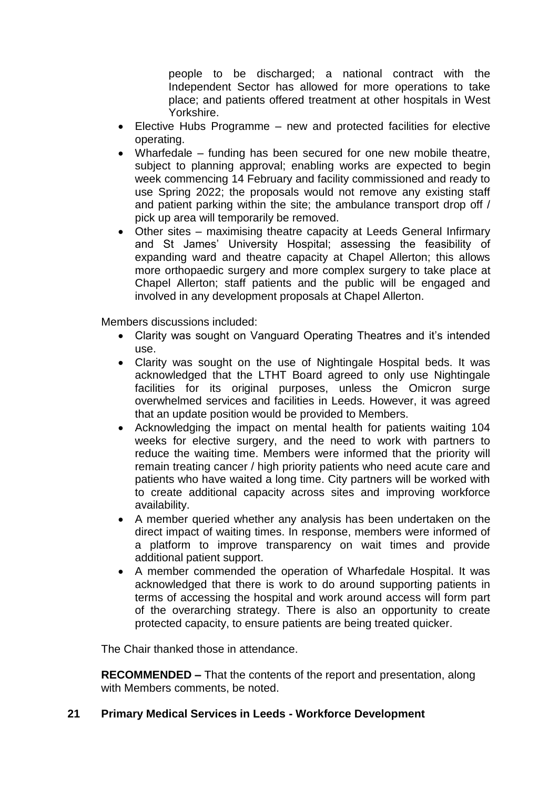people to be discharged; a national contract with the Independent Sector has allowed for more operations to take place; and patients offered treatment at other hospitals in West Yorkshire.

- Elective Hubs Programme new and protected facilities for elective operating.
- Wharfedale funding has been secured for one new mobile theatre, subject to planning approval; enabling works are expected to begin week commencing 14 February and facility commissioned and ready to use Spring 2022; the proposals would not remove any existing staff and patient parking within the site; the ambulance transport drop off / pick up area will temporarily be removed.
- Other sites maximising theatre capacity at Leeds General Infirmary and St James' University Hospital; assessing the feasibility of expanding ward and theatre capacity at Chapel Allerton; this allows more orthopaedic surgery and more complex surgery to take place at Chapel Allerton; staff patients and the public will be engaged and involved in any development proposals at Chapel Allerton.

Members discussions included:

- Clarity was sought on Vanguard Operating Theatres and it's intended use.
- Clarity was sought on the use of Nightingale Hospital beds. It was acknowledged that the LTHT Board agreed to only use Nightingale facilities for its original purposes, unless the Omicron surge overwhelmed services and facilities in Leeds. However, it was agreed that an update position would be provided to Members.
- Acknowledging the impact on mental health for patients waiting 104 weeks for elective surgery, and the need to work with partners to reduce the waiting time. Members were informed that the priority will remain treating cancer / high priority patients who need acute care and patients who have waited a long time. City partners will be worked with to create additional capacity across sites and improving workforce availability.
- A member queried whether any analysis has been undertaken on the direct impact of waiting times. In response, members were informed of a platform to improve transparency on wait times and provide additional patient support.
- A member commended the operation of Wharfedale Hospital. It was acknowledged that there is work to do around supporting patients in terms of accessing the hospital and work around access will form part of the overarching strategy. There is also an opportunity to create protected capacity, to ensure patients are being treated quicker.

The Chair thanked those in attendance.

**RECOMMENDED –** That the contents of the report and presentation, along with Members comments, be noted.

### **21 Primary Medical Services in Leeds - Workforce Development**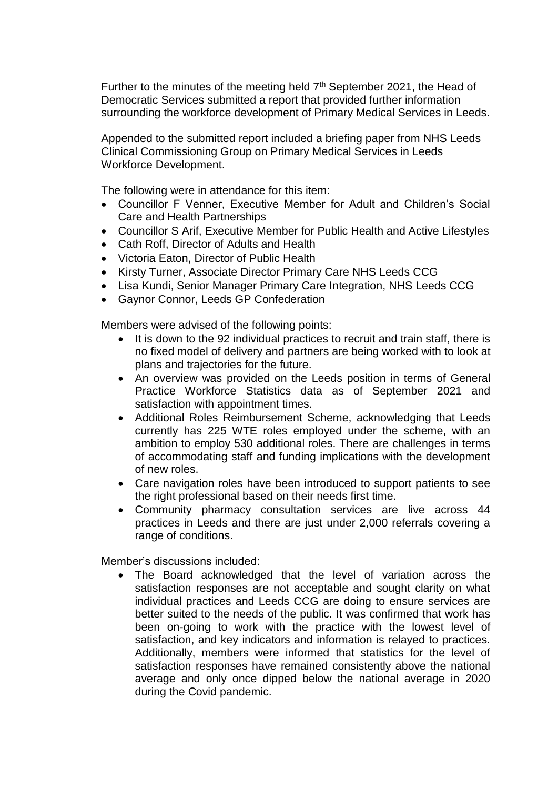Further to the minutes of the meeting held  $7<sup>th</sup>$  September 2021, the Head of Democratic Services submitted a report that provided further information surrounding the workforce development of Primary Medical Services in Leeds.

Appended to the submitted report included a briefing paper from NHS Leeds Clinical Commissioning Group on Primary Medical Services in Leeds Workforce Development.

The following were in attendance for this item:

- Councillor F Venner, Executive Member for Adult and Children's Social Care and Health Partnerships
- Councillor S Arif, Executive Member for Public Health and Active Lifestyles
- Cath Roff, Director of Adults and Health
- Victoria Eaton, Director of Public Health
- Kirsty Turner, Associate Director Primary Care NHS Leeds CCG
- Lisa Kundi, Senior Manager Primary Care Integration, NHS Leeds CCG
- Gaynor Connor, Leeds GP Confederation

Members were advised of the following points:

- It is down to the 92 individual practices to recruit and train staff, there is no fixed model of delivery and partners are being worked with to look at plans and trajectories for the future.
- An overview was provided on the Leeds position in terms of General Practice Workforce Statistics data as of September 2021 and satisfaction with appointment times.
- Additional Roles Reimbursement Scheme, acknowledging that Leeds currently has 225 WTE roles employed under the scheme, with an ambition to employ 530 additional roles. There are challenges in terms of accommodating staff and funding implications with the development of new roles.
- Care navigation roles have been introduced to support patients to see the right professional based on their needs first time.
- Community pharmacy consultation services are live across 44 practices in Leeds and there are just under 2,000 referrals covering a range of conditions.

Member's discussions included:

 The Board acknowledged that the level of variation across the satisfaction responses are not acceptable and sought clarity on what individual practices and Leeds CCG are doing to ensure services are better suited to the needs of the public. It was confirmed that work has been on-going to work with the practice with the lowest level of satisfaction, and key indicators and information is relayed to practices. Additionally, members were informed that statistics for the level of satisfaction responses have remained consistently above the national average and only once dipped below the national average in 2020 during the Covid pandemic.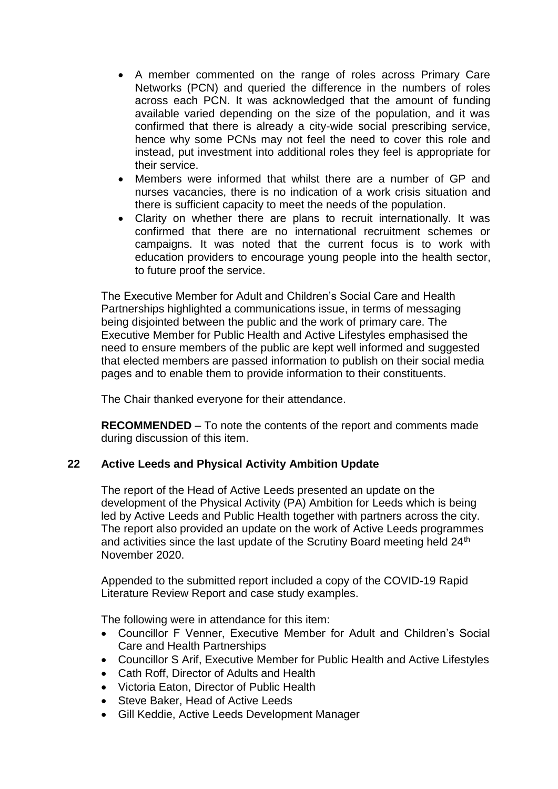- A member commented on the range of roles across Primary Care Networks (PCN) and queried the difference in the numbers of roles across each PCN. It was acknowledged that the amount of funding available varied depending on the size of the population, and it was confirmed that there is already a city-wide social prescribing service, hence why some PCNs may not feel the need to cover this role and instead, put investment into additional roles they feel is appropriate for their service.
- Members were informed that whilst there are a number of GP and nurses vacancies, there is no indication of a work crisis situation and there is sufficient capacity to meet the needs of the population.
- Clarity on whether there are plans to recruit internationally. It was confirmed that there are no international recruitment schemes or campaigns. It was noted that the current focus is to work with education providers to encourage young people into the health sector, to future proof the service.

The Executive Member for Adult and Children's Social Care and Health Partnerships highlighted a communications issue, in terms of messaging being disjointed between the public and the work of primary care. The Executive Member for Public Health and Active Lifestyles emphasised the need to ensure members of the public are kept well informed and suggested that elected members are passed information to publish on their social media pages and to enable them to provide information to their constituents.

The Chair thanked everyone for their attendance.

**RECOMMENDED** – To note the contents of the report and comments made during discussion of this item.

### **22 Active Leeds and Physical Activity Ambition Update**

The report of the Head of Active Leeds presented an update on the development of the Physical Activity (PA) Ambition for Leeds which is being led by Active Leeds and Public Health together with partners across the city. The report also provided an update on the work of Active Leeds programmes and activities since the last update of the Scrutiny Board meeting held 24<sup>th</sup> November 2020.

Appended to the submitted report included a copy of the COVID-19 Rapid Literature Review Report and case study examples.

The following were in attendance for this item:

- Councillor F Venner, Executive Member for Adult and Children's Social Care and Health Partnerships
- Councillor S Arif, Executive Member for Public Health and Active Lifestyles
- Cath Roff, Director of Adults and Health
- Victoria Eaton, Director of Public Health
- Steve Baker, Head of Active Leeds
- Gill Keddie, Active Leeds Development Manager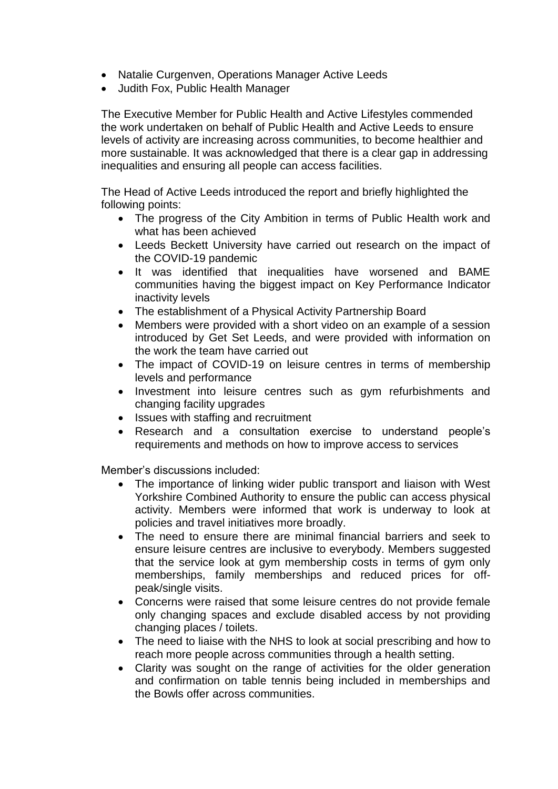- Natalie Curgenven, Operations Manager Active Leeds
- Judith Fox, Public Health Manager

The Executive Member for Public Health and Active Lifestyles commended the work undertaken on behalf of Public Health and Active Leeds to ensure levels of activity are increasing across communities, to become healthier and more sustainable. It was acknowledged that there is a clear gap in addressing inequalities and ensuring all people can access facilities.

The Head of Active Leeds introduced the report and briefly highlighted the following points:

- The progress of the City Ambition in terms of Public Health work and what has been achieved
- Leeds Beckett University have carried out research on the impact of the COVID-19 pandemic
- It was identified that inequalities have worsened and BAME communities having the biggest impact on Key Performance Indicator inactivity levels
- The establishment of a Physical Activity Partnership Board
- Members were provided with a short video on an example of a session introduced by Get Set Leeds, and were provided with information on the work the team have carried out
- The impact of COVID-19 on leisure centres in terms of membership levels and performance
- Investment into leisure centres such as gym refurbishments and changing facility upgrades
- Issues with staffing and recruitment
- Research and a consultation exercise to understand people's requirements and methods on how to improve access to services

Member's discussions included:

- The importance of linking wider public transport and liaison with West Yorkshire Combined Authority to ensure the public can access physical activity. Members were informed that work is underway to look at policies and travel initiatives more broadly.
- The need to ensure there are minimal financial barriers and seek to ensure leisure centres are inclusive to everybody. Members suggested that the service look at gym membership costs in terms of gym only memberships, family memberships and reduced prices for offpeak/single visits.
- Concerns were raised that some leisure centres do not provide female only changing spaces and exclude disabled access by not providing changing places / toilets.
- The need to liaise with the NHS to look at social prescribing and how to reach more people across communities through a health setting.
- Clarity was sought on the range of activities for the older generation and confirmation on table tennis being included in memberships and the Bowls offer across communities.